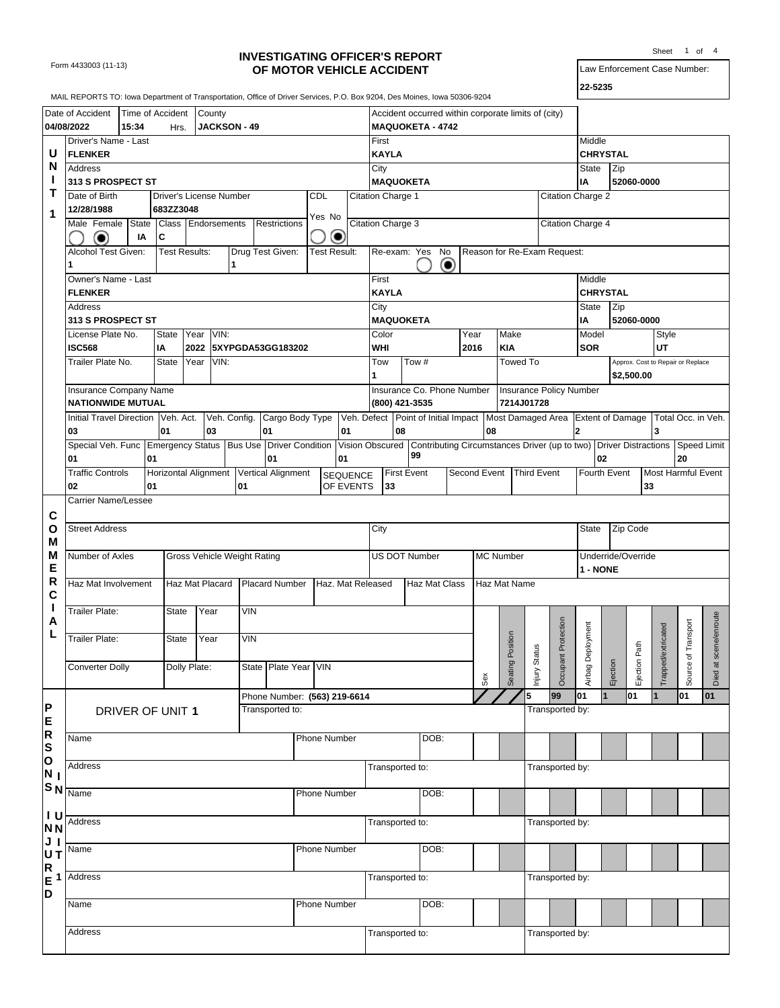Form 4433003 (11-13)

## **INVESTIGATING OFFICER'S REPORT OF MOTOR VEHICLE ACCIDENT**

Law Enforcement Case Number: Sheet 1 of 4

**22-5235**

|                       | MAIL REPORTS TO: lowa Department of Transportation, Office of Driver Services, P.O. Box 9204, Des Moines, Iowa 50306-9204 |       |                         |                      |        |                             |                                                                                                            |              |                              |                          |                    |                                                     |                          |      |                  |              |                                                                                                   |                      |            |          |                    |                                   |               |
|-----------------------|---------------------------------------------------------------------------------------------------------------------------|-------|-------------------------|----------------------|--------|-----------------------------|------------------------------------------------------------------------------------------------------------|--------------|------------------------------|--------------------------|--------------------|-----------------------------------------------------|--------------------------|------|------------------|--------------|---------------------------------------------------------------------------------------------------|----------------------|------------|----------|--------------------|-----------------------------------|---------------|
|                       |                                                                                                                           |       |                         |                      |        |                             |                                                                                                            |              |                              |                          |                    |                                                     |                          |      |                  |              |                                                                                                   |                      |            |          |                    |                                   |               |
|                       | Date of Accident                                                                                                          |       | Time of Accident        |                      | County |                             |                                                                                                            |              |                              |                          |                    | Accident occurred within corporate limits of (city) |                          |      |                  |              |                                                                                                   |                      |            |          |                    |                                   |               |
|                       | 04/08/2022                                                                                                                | 15:34 | Hrs.                    |                      |        | JACKSON - 49                |                                                                                                            |              |                              |                          |                    | <b>MAQUOKETA - 4742</b>                             |                          |      |                  |              |                                                                                                   |                      |            |          |                    |                                   |               |
|                       | Driver's Name - Last                                                                                                      |       |                         |                      |        |                             |                                                                                                            |              |                              | First                    |                    |                                                     |                          |      |                  |              |                                                                                                   | Middle               |            |          |                    |                                   |               |
| U<br>N                | <b>FLENKER</b>                                                                                                            |       |                         |                      |        |                             |                                                                                                            |              |                              | <b>KAYLA</b>             |                    |                                                     |                          |      |                  |              |                                                                                                   | <b>CHRYSTAL</b>      |            |          |                    |                                   |               |
|                       | Address                                                                                                                   |       |                         |                      |        |                             |                                                                                                            |              |                              | City                     |                    |                                                     |                          |      |                  |              |                                                                                                   | State                | Zip        |          |                    |                                   |               |
| п                     | 313 S PROSPECT ST                                                                                                         |       |                         |                      |        |                             |                                                                                                            |              |                              |                          |                    | <b>MAQUOKETA</b>                                    |                          |      |                  |              |                                                                                                   | ΙA                   | 52060-0000 |          |                    |                                   |               |
| Т                     | Date of Birth                                                                                                             |       | Driver's License Number |                      |        |                             |                                                                                                            | CDL          |                              | Citation Charge 1        |                    |                                                     |                          |      |                  |              |                                                                                                   | Citation Charge 2    |            |          |                    |                                   |               |
| 1                     | 12/28/1988                                                                                                                |       | 683ZZ3048               |                      |        |                             |                                                                                                            | Yes No       |                              |                          |                    |                                                     |                          |      |                  |              |                                                                                                   |                      |            |          |                    |                                   |               |
|                       | Male Female                                                                                                               | State |                         | Class Endorsements   |        |                             | Restrictions                                                                                               |              |                              | <b>Citation Charge 3</b> |                    |                                                     |                          |      |                  |              |                                                                                                   | Citation Charge 4    |            |          |                    |                                   |               |
|                       | ◉                                                                                                                         | ΙA    | C                       |                      |        |                             |                                                                                                            |              | ◉                            |                          |                    |                                                     |                          |      |                  |              |                                                                                                   |                      |            |          |                    |                                   |               |
|                       | Alcohol Test Given:                                                                                                       |       |                         | <b>Test Results:</b> |        |                             | Drug Test Given:                                                                                           |              | <b>Test Result:</b>          |                          |                    | Re-exam: Yes No                                     |                          |      |                  |              | Reason for Re-Exam Request:                                                                       |                      |            |          |                    |                                   |               |
|                       |                                                                                                                           |       |                         |                      |        | 1                           |                                                                                                            |              |                              |                          |                    |                                                     | $\left( \bullet \right)$ |      |                  |              |                                                                                                   |                      |            |          |                    |                                   |               |
|                       | Owner's Name - Last                                                                                                       |       |                         |                      |        |                             |                                                                                                            |              |                              | First                    |                    |                                                     |                          |      |                  |              |                                                                                                   | Middle               |            |          |                    |                                   |               |
|                       | <b>FLENKER</b>                                                                                                            |       |                         |                      |        |                             |                                                                                                            |              |                              | <b>KAYLA</b>             |                    |                                                     |                          |      |                  |              |                                                                                                   | <b>CHRYSTAL</b>      |            |          |                    |                                   |               |
|                       | Address                                                                                                                   |       |                         |                      |        |                             |                                                                                                            |              |                              | City                     |                    |                                                     |                          |      |                  |              |                                                                                                   | State                | Zip        |          |                    |                                   |               |
|                       | 313 S PROSPECT ST                                                                                                         |       |                         |                      |        |                             |                                                                                                            |              |                              |                          |                    | <b>MAQUOKETA</b>                                    |                          |      |                  |              |                                                                                                   | IA                   | 52060-0000 |          |                    |                                   |               |
|                       | License Plate No.                                                                                                         |       | State                   | Year VIN:            |        |                             |                                                                                                            |              |                              | Color                    |                    |                                                     |                          | Year |                  | Make         |                                                                                                   | Model                |            |          | Style              |                                   |               |
|                       | <b>ISC568</b>                                                                                                             |       | IA                      |                      |        |                             | 2022 5XYPGDA53GG183202                                                                                     |              |                              | WHI                      |                    |                                                     |                          | 2016 |                  | <b>KIA</b>   |                                                                                                   | <b>SOR</b>           |            |          | UT                 |                                   |               |
|                       | Trailer Plate No.                                                                                                         |       | State                   | Year                 | VIN:   |                             |                                                                                                            |              |                              | Tow                      |                    | Tow #                                               |                          |      |                  | Towed To     |                                                                                                   |                      |            |          |                    | Approx. Cost to Repair or Replace |               |
|                       |                                                                                                                           |       |                         |                      |        |                             |                                                                                                            |              |                              | 1                        |                    |                                                     |                          |      |                  |              |                                                                                                   |                      | \$2,500.00 |          |                    |                                   |               |
|                       | Insurance Company Name                                                                                                    |       |                         |                      |        |                             |                                                                                                            |              |                              |                          |                    | Insurance Co. Phone Number                          |                          |      |                  |              | <b>Insurance Policy Number</b>                                                                    |                      |            |          |                    |                                   |               |
|                       | <b>NATIONWIDE MUTUAL</b>                                                                                                  |       |                         |                      |        |                             |                                                                                                            |              |                              |                          |                    | (800) 421-3535                                      |                          |      |                  | 7214J01728   |                                                                                                   |                      |            |          |                    |                                   |               |
|                       | Initial Travel Direction Veh. Act.                                                                                        |       |                         |                      |        |                             | Veh. Config. Cargo Body Type                                                                               |              |                              |                          |                    |                                                     |                          |      |                  |              | Veh. Defect   Point of Initial Impact   Most Damaged Area   Extent of Damage   Total Occ. in Veh. |                      |            |          |                    |                                   |               |
|                       | 03                                                                                                                        |       | 01                      |                      | 03     |                             | 01                                                                                                         |              | 01                           |                          | 08                 |                                                     |                          |      | 08               |              |                                                                                                   | $\mathbf{2}$         |            |          | 3                  |                                   |               |
|                       | Special Veh. Func Emergency Status                                                                                        |       |                         |                      |        |                             | Bus Use Driver Condition Vision Obscured Contributing Circumstances Driver (up to two) Driver Distractions |              |                              |                          |                    | 99                                                  |                          |      |                  |              |                                                                                                   |                      |            |          |                    |                                   | Speed Limit   |
|                       | 01                                                                                                                        |       | 01                      |                      |        |                             | 01                                                                                                         |              | 01                           |                          |                    |                                                     |                          |      |                  |              |                                                                                                   | 02                   |            |          |                    | 20                                |               |
|                       | <b>Traffic Controls</b>                                                                                                   |       | 01                      |                      |        | 01                          | Horizontal Alignment Vertical Alignment                                                                    |              | <b>SEQUENCE</b><br>OF EVENTS |                          | <b>First Event</b> |                                                     |                          |      | Second Event     |              | <b>Third Event</b>                                                                                | Fourth Event         |            |          |                    | <b>Most Harmful Event</b>         |               |
|                       | 02<br><b>Carrier Name/Lessee</b>                                                                                          |       |                         |                      |        |                             |                                                                                                            |              |                              | 33                       |                    |                                                     |                          |      |                  |              |                                                                                                   |                      |            | 33       |                    |                                   |               |
|                       |                                                                                                                           |       |                         |                      |        |                             |                                                                                                            |              |                              |                          |                    |                                                     |                          |      |                  |              |                                                                                                   |                      |            |          |                    |                                   |               |
| C<br>$\mathbf{o}$     | <b>Street Address</b>                                                                                                     |       |                         |                      |        |                             |                                                                                                            |              |                              | City                     |                    |                                                     |                          |      |                  |              |                                                                                                   | State                | Zip Code   |          |                    |                                   |               |
| М                     |                                                                                                                           |       |                         |                      |        |                             |                                                                                                            |              |                              |                          |                    |                                                     |                          |      |                  |              |                                                                                                   |                      |            |          |                    |                                   |               |
| M                     | Number of Axles                                                                                                           |       |                         |                      |        | Gross Vehicle Weight Rating |                                                                                                            |              |                              |                          |                    | <b>US DOT Number</b>                                |                          |      | <b>MC Number</b> |              |                                                                                                   | Underride/Override   |            |          |                    |                                   |               |
| Е                     |                                                                                                                           |       |                         |                      |        |                             |                                                                                                            |              |                              |                          |                    |                                                     |                          |      |                  |              |                                                                                                   | 1 - NONE             |            |          |                    |                                   |               |
| R                     | Haz Mat Involvement                                                                                                       |       |                         | Haz Mat Placard      |        |                             | <b>Placard Number</b>                                                                                      |              | Haz. Mat Released            |                          |                    | Haz Mat Class                                       |                          |      |                  | Haz Mat Name |                                                                                                   |                      |            |          |                    |                                   |               |
| С                     |                                                                                                                           |       |                         |                      |        |                             |                                                                                                            |              |                              |                          |                    |                                                     |                          |      |                  |              |                                                                                                   |                      |            |          |                    |                                   |               |
| L                     | Trailer Plate:                                                                                                            |       | <b>State</b>            |                      | Year   | <b>VIN</b>                  |                                                                                                            |              |                              |                          |                    |                                                     |                          |      |                  |              |                                                                                                   |                      |            |          |                    |                                   |               |
| A                     |                                                                                                                           |       |                         |                      |        |                             |                                                                                                            |              |                              |                          |                    |                                                     |                          |      |                  |              |                                                                                                   |                      |            |          |                    |                                   | scene/enroute |
| L                     | Trailer Plate:                                                                                                            |       | State                   | Year                 |        | <b>VIN</b>                  |                                                                                                            |              |                              |                          |                    |                                                     |                          |      |                  |              |                                                                                                   |                      |            |          | Trapped/extricated | of Transport                      |               |
|                       |                                                                                                                           |       |                         |                      |        |                             |                                                                                                            |              |                              |                          |                    |                                                     |                          |      |                  | Position     | tatus                                                                                             |                      |            | Path     |                    |                                   |               |
|                       | <b>Converter Dolly</b>                                                                                                    |       |                         | Dolly Plate:         |        |                             | State   Plate Year   VIN                                                                                   |              |                              |                          |                    |                                                     |                          |      |                  |              |                                                                                                   |                      |            |          |                    |                                   |               |
|                       |                                                                                                                           |       |                         |                      |        |                             |                                                                                                            |              |                              |                          |                    |                                                     |                          |      | Sex              | Seating      | Occupant Protection<br>Injury St                                                                  | Airbag Deployment    | Ejection   | Ejection |                    | Source r                          | Died at s     |
|                       |                                                                                                                           |       |                         |                      |        |                             | Phone Number: (563) 219-6614                                                                               |              |                              |                          |                    |                                                     |                          |      |                  | 5            | 99                                                                                                | 01<br>$\overline{1}$ | 01         |          | $\mathbf{1}$       | lo1                               | 01            |
| Ρ                     |                                                                                                                           |       | DRIVER OF UNIT 1        |                      |        |                             | Transported to:                                                                                            |              |                              |                          |                    |                                                     |                          |      |                  |              | Transported by:                                                                                   |                      |            |          |                    |                                   |               |
| E                     |                                                                                                                           |       |                         |                      |        |                             |                                                                                                            |              |                              |                          |                    |                                                     |                          |      |                  |              |                                                                                                   |                      |            |          |                    |                                   |               |
| R                     | Name                                                                                                                      |       |                         |                      |        |                             |                                                                                                            | Phone Number |                              |                          |                    | DOB:                                                |                          |      |                  |              |                                                                                                   |                      |            |          |                    |                                   |               |
| S                     |                                                                                                                           |       |                         |                      |        |                             |                                                                                                            |              |                              |                          |                    |                                                     |                          |      |                  |              |                                                                                                   |                      |            |          |                    |                                   |               |
| O                     | Address                                                                                                                   |       |                         |                      |        |                             |                                                                                                            |              |                              | Transported to:          |                    |                                                     |                          |      |                  |              | Transported by:                                                                                   |                      |            |          |                    |                                   |               |
| N <sub>I</sub>        |                                                                                                                           |       |                         |                      |        |                             |                                                                                                            |              |                              |                          |                    |                                                     |                          |      |                  |              |                                                                                                   |                      |            |          |                    |                                   |               |
|                       | $S_N$ $\overline{\frac{1}{\text{Name}}}\$                                                                                 |       |                         |                      |        |                             |                                                                                                            | Phone Number |                              |                          |                    | DOB:                                                |                          |      |                  |              |                                                                                                   |                      |            |          |                    |                                   |               |
|                       |                                                                                                                           |       |                         |                      |        |                             |                                                                                                            |              |                              |                          |                    |                                                     |                          |      |                  |              |                                                                                                   |                      |            |          |                    |                                   |               |
| I U<br>N <sub>N</sub> | Address                                                                                                                   |       |                         |                      |        |                             |                                                                                                            |              |                              | Transported to:          |                    |                                                     |                          |      |                  |              | Transported by:                                                                                   |                      |            |          |                    |                                   |               |
| J <sub>1</sub>        |                                                                                                                           |       |                         |                      |        |                             |                                                                                                            |              |                              |                          |                    |                                                     |                          |      |                  |              |                                                                                                   |                      |            |          |                    |                                   |               |
| U T                   | Name                                                                                                                      |       |                         |                      |        |                             |                                                                                                            | Phone Number |                              |                          |                    | DOB:                                                |                          |      |                  |              |                                                                                                   |                      |            |          |                    |                                   |               |
| R                     |                                                                                                                           |       |                         |                      |        |                             |                                                                                                            |              |                              |                          |                    |                                                     |                          |      |                  |              |                                                                                                   |                      |            |          |                    |                                   |               |
| E<br>1                | Address                                                                                                                   |       |                         |                      |        |                             |                                                                                                            |              |                              | Transported to:          |                    |                                                     |                          |      |                  |              | Transported by:                                                                                   |                      |            |          |                    |                                   |               |
| D                     |                                                                                                                           |       |                         |                      |        |                             |                                                                                                            |              |                              |                          |                    |                                                     |                          |      |                  |              |                                                                                                   |                      |            |          |                    |                                   |               |
|                       | Name                                                                                                                      |       |                         |                      |        |                             |                                                                                                            | Phone Number |                              |                          |                    | DOB:                                                |                          |      |                  |              |                                                                                                   |                      |            |          |                    |                                   |               |
|                       |                                                                                                                           |       |                         |                      |        |                             |                                                                                                            |              |                              |                          |                    |                                                     |                          |      |                  |              |                                                                                                   |                      |            |          |                    |                                   |               |
|                       | Address                                                                                                                   |       |                         |                      |        |                             |                                                                                                            |              |                              | Transported to:          |                    |                                                     |                          |      |                  |              | Transported by:                                                                                   |                      |            |          |                    |                                   |               |
|                       |                                                                                                                           |       |                         |                      |        |                             |                                                                                                            |              |                              |                          |                    |                                                     |                          |      |                  |              |                                                                                                   |                      |            |          |                    |                                   |               |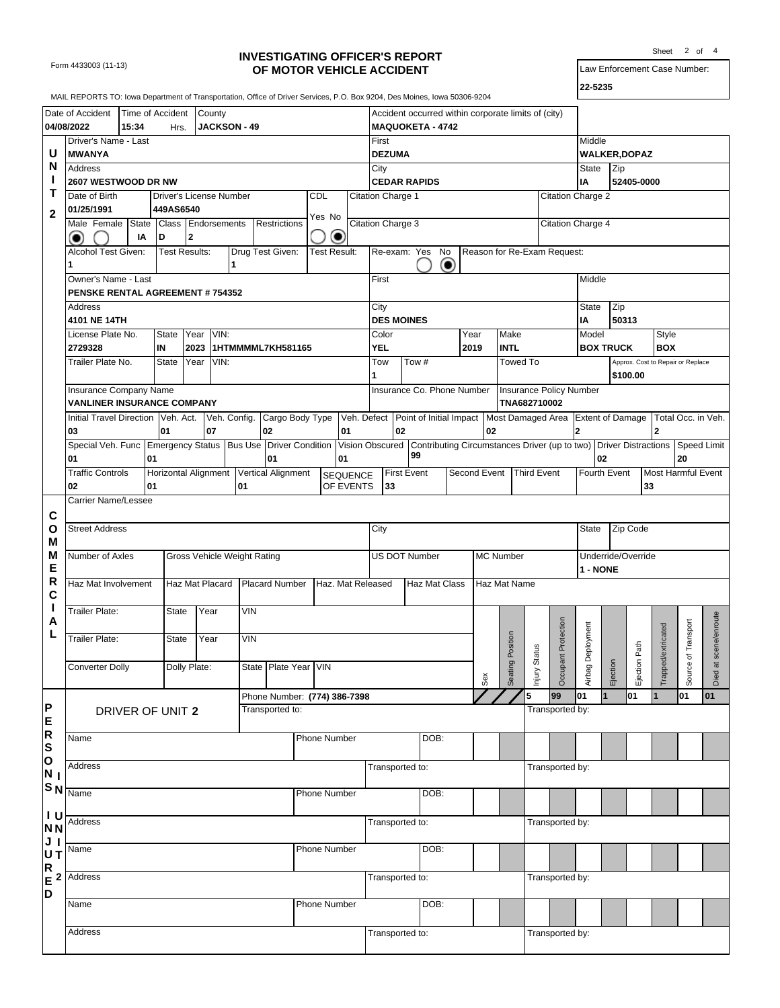Form 4433003 (11-13)

## **INVESTIGATING OFFICER'S REPORT OF MOTOR VEHICLE ACCIDENT**

Law Enforcement Case Number: Sheet 2 of 4

| I<br>×<br>۰. |
|--------------|
|--------------|

|                 | MAIL REPORTS TO: Iowa Department of Transportation, Office of Driver Services, P.O. Box 9204, Des Moines, Iowa 50306-9204 |       |                         |                      |                 |                             |                                                                                                                  |              |                              |                   |                    |                                                                                |           |              |                  |              |                                |                         |          |                   |                    |                                   |               |
|-----------------|---------------------------------------------------------------------------------------------------------------------------|-------|-------------------------|----------------------|-----------------|-----------------------------|------------------------------------------------------------------------------------------------------------------|--------------|------------------------------|-------------------|--------------------|--------------------------------------------------------------------------------|-----------|--------------|------------------|--------------|--------------------------------|-------------------------|----------|-------------------|--------------------|-----------------------------------|---------------|
|                 |                                                                                                                           |       |                         |                      |                 |                             |                                                                                                                  |              |                              |                   |                    |                                                                                |           |              |                  |              |                                |                         |          |                   |                    |                                   |               |
|                 | Date of Accident<br>04/08/2022                                                                                            | 15:34 | Time of Accident        |                      | County          | <b>JACKSON - 49</b>         |                                                                                                                  |              |                              |                   |                    | Accident occurred within corporate limits of (city)<br><b>MAQUOKETA - 4742</b> |           |              |                  |              |                                |                         |          |                   |                    |                                   |               |
|                 |                                                                                                                           |       | Hrs.                    |                      |                 |                             |                                                                                                                  |              |                              | First             |                    |                                                                                |           |              |                  |              |                                | Middle                  |          |                   |                    |                                   |               |
| U               | Driver's Name - Last                                                                                                      |       |                         |                      |                 |                             |                                                                                                                  |              |                              |                   |                    |                                                                                |           |              |                  |              |                                |                         |          |                   |                    |                                   |               |
| N               | <b>MWANYA</b>                                                                                                             |       |                         |                      |                 |                             |                                                                                                                  |              |                              |                   | <b>DEZUMA</b>      |                                                                                |           |              |                  |              |                                | <b>WALKER, DOPAZ</b>    |          |                   |                    |                                   |               |
|                 | Address                                                                                                                   |       |                         |                      |                 |                             |                                                                                                                  |              |                              | City              |                    |                                                                                |           |              |                  |              |                                | State                   | Zip      |                   |                    |                                   |               |
| Т               | 2607 WESTWOOD DR NW                                                                                                       |       |                         |                      |                 |                             |                                                                                                                  |              |                              |                   |                    | <b>CEDAR RAPIDS</b>                                                            |           |              |                  |              |                                | IA                      |          | 52405-0000        |                    |                                   |               |
|                 | Date of Birth                                                                                                             |       | Driver's License Number |                      |                 |                             |                                                                                                                  | <b>CDL</b>   |                              | Citation Charge 1 |                    |                                                                                |           |              |                  |              | Citation Charge 2              |                         |          |                   |                    |                                   |               |
| $\mathbf{2}$    | 01/25/1991                                                                                                                |       | 449AS6540               |                      |                 |                             |                                                                                                                  | Yes No       |                              |                   |                    |                                                                                |           |              |                  |              |                                |                         |          |                   |                    |                                   |               |
|                 | Male Female State                                                                                                         |       | Class                   |                      | Endorsements    |                             | Restrictions                                                                                                     |              |                              | Citation Charge 3 |                    |                                                                                |           |              |                  |              | Citation Charge 4              |                         |          |                   |                    |                                   |               |
|                 |                                                                                                                           | IA    | D                       | 2                    |                 |                             |                                                                                                                  |              | ◉                            |                   |                    |                                                                                |           |              |                  |              |                                |                         |          |                   |                    |                                   |               |
|                 | Alcohol Test Given:                                                                                                       |       |                         | <b>Test Results:</b> |                 |                             | Drug Test Given:                                                                                                 | Test Result: |                              |                   |                    | Re-exam: Yes No                                                                |           |              |                  |              | Reason for Re-Exam Request:    |                         |          |                   |                    |                                   |               |
|                 |                                                                                                                           |       |                         |                      |                 | 1                           |                                                                                                                  |              |                              |                   |                    |                                                                                | $\bullet$ |              |                  |              |                                |                         |          |                   |                    |                                   |               |
|                 | Owner's Name - Last                                                                                                       |       |                         |                      |                 |                             |                                                                                                                  |              |                              | First             |                    |                                                                                |           |              |                  |              |                                | Middle                  |          |                   |                    |                                   |               |
|                 | <b>PENSKE RENTAL AGREEMENT # 754352</b>                                                                                   |       |                         |                      |                 |                             |                                                                                                                  |              |                              |                   |                    |                                                                                |           |              |                  |              |                                |                         |          |                   |                    |                                   |               |
|                 | Address                                                                                                                   |       |                         |                      |                 |                             |                                                                                                                  |              |                              | City              |                    |                                                                                |           |              |                  |              |                                | <b>State</b>            | Zip      |                   |                    |                                   |               |
|                 | 4101 NE 14TH                                                                                                              |       |                         |                      |                 |                             |                                                                                                                  |              |                              |                   | <b>DES MOINES</b>  |                                                                                |           |              |                  |              |                                | IA                      | 50313    |                   |                    |                                   |               |
|                 | License Plate No.                                                                                                         |       | State                   | Year                 | VIN:            |                             |                                                                                                                  |              |                              | Color             |                    |                                                                                |           | Year         |                  | Make         |                                | Model                   |          |                   | Style              |                                   |               |
|                 | 2729328                                                                                                                   |       | IN                      | 2023                 |                 |                             | 1HTMMMML7KH581165                                                                                                |              |                              | YEL               |                    |                                                                                |           | 2019         |                  | <b>INTL</b>  |                                | <b>BOX TRUCK</b>        |          |                   | <b>BOX</b>         |                                   |               |
|                 | Trailer Plate No.                                                                                                         |       | State                   | Year                 | VIN:            |                             |                                                                                                                  |              |                              | Tow               |                    | $\overline{T}$ ow #                                                            |           |              |                  | Towed To     |                                |                         |          |                   |                    | Approx. Cost to Repair or Replace |               |
|                 |                                                                                                                           |       |                         |                      |                 |                             |                                                                                                                  |              |                              | 1                 |                    |                                                                                |           |              |                  |              |                                |                         |          | \$100.00          |                    |                                   |               |
|                 | Insurance Company Name                                                                                                    |       |                         |                      |                 |                             |                                                                                                                  |              |                              |                   |                    | Insurance Co. Phone Number                                                     |           |              |                  | TNA682710002 | <b>Insurance Policy Number</b> |                         |          |                   |                    |                                   |               |
|                 | <b>VANLINER INSURANCE COMPANY</b>                                                                                         |       |                         |                      |                 |                             |                                                                                                                  |              |                              |                   |                    |                                                                                |           |              |                  |              |                                |                         |          |                   |                    |                                   |               |
|                 | Initial Travel Direction Veh. Act.                                                                                        |       | 01                      |                      | 07              | Veh. Config.                | Cargo Body Type Veh. Defect Point of Initial Impact Most Damaged Area Extent of Damage Total Occ. in Veh.        |              | 01                           |                   | 02                 |                                                                                |           |              |                  |              |                                |                         |          |                   |                    |                                   |               |
|                 | 03                                                                                                                        |       |                         |                      |                 |                             | 02                                                                                                               |              |                              |                   |                    |                                                                                |           |              | 02               |              |                                | $\overline{\mathbf{2}}$ |          |                   | $\mathbf{2}$       |                                   |               |
|                 | Special Veh. Func Emergency Status<br>01                                                                                  |       | 01                      |                      |                 |                             | Bus Use Driver Condition Vision Obscured Contributing Circumstances Driver (up to two) Driver Distractions<br>01 |              | 01                           |                   |                    | 99                                                                             |           |              |                  |              |                                | 02                      |          |                   |                    | <b>Speed Limit</b><br>20          |               |
|                 | <b>Traffic Controls</b>                                                                                                   |       |                         |                      |                 |                             |                                                                                                                  |              |                              |                   | <b>First Event</b> |                                                                                |           | Second Event |                  |              | <b>Third Event</b>             | Fourth Event            |          |                   |                    | Most Harmful Event                |               |
|                 | 02                                                                                                                        |       | 01                      |                      |                 | 01                          | Horizontal Alignment Vertical Alignment                                                                          |              | <b>SEQUENCE</b><br>OF EVENTS |                   | 33                 |                                                                                |           |              |                  |              |                                |                         |          | 33                |                    |                                   |               |
|                 | Carrier Name/Lessee                                                                                                       |       |                         |                      |                 |                             |                                                                                                                  |              |                              |                   |                    |                                                                                |           |              |                  |              |                                |                         |          |                   |                    |                                   |               |
|                 |                                                                                                                           |       |                         |                      |                 |                             |                                                                                                                  |              |                              |                   |                    |                                                                                |           |              |                  |              |                                |                         |          |                   |                    |                                   |               |
| C<br>O          | <b>Street Address</b>                                                                                                     |       |                         |                      |                 |                             |                                                                                                                  |              |                              | City              |                    |                                                                                |           |              |                  |              |                                | State                   |          | Zip Code          |                    |                                   |               |
| M               |                                                                                                                           |       |                         |                      |                 |                             |                                                                                                                  |              |                              |                   |                    |                                                                                |           |              |                  |              |                                |                         |          |                   |                    |                                   |               |
| M               | Number of Axles                                                                                                           |       |                         |                      |                 | Gross Vehicle Weight Rating |                                                                                                                  |              |                              |                   |                    | US DOT Number                                                                  |           |              | <b>MC Number</b> |              |                                | Underride/Override      |          |                   |                    |                                   |               |
| Е               |                                                                                                                           |       |                         |                      |                 |                             |                                                                                                                  |              |                              |                   |                    |                                                                                |           |              |                  |              |                                | 1 - NONE                |          |                   |                    |                                   |               |
| R               | Haz Mat Involvement                                                                                                       |       |                         |                      | Haz Mat Placard |                             | Placard Number                                                                                                   |              | Haz. Mat Released            |                   |                    | Haz Mat Class                                                                  |           |              |                  | Haz Mat Name |                                |                         |          |                   |                    |                                   |               |
| $\mathbf c$     |                                                                                                                           |       |                         |                      |                 |                             |                                                                                                                  |              |                              |                   |                    |                                                                                |           |              |                  |              |                                |                         |          |                   |                    |                                   |               |
| ı               | <b>Trailer Plate:</b>                                                                                                     |       | <b>State</b>            |                      | Year            | <b>VIN</b>                  |                                                                                                                  |              |                              |                   |                    |                                                                                |           |              |                  |              |                                |                         |          |                   |                    |                                   |               |
| A               |                                                                                                                           |       |                         |                      |                 |                             |                                                                                                                  |              |                              |                   |                    |                                                                                |           |              |                  |              |                                |                         |          |                   |                    |                                   |               |
| L               | Trailer Plate:                                                                                                            |       | <b>State</b>            |                      | Year            | <b>VIN</b>                  |                                                                                                                  |              |                              |                   |                    |                                                                                |           |              |                  |              | Occupant Protection            | Deployment              |          |                   | Trapped/extricated | of Transport                      | scene/enroute |
|                 |                                                                                                                           |       |                         |                      |                 |                             |                                                                                                                  |              |                              |                   |                    |                                                                                |           |              |                  | Position     | Injury Status                  |                         |          | Path              |                    |                                   |               |
|                 | <b>Converter Dolly</b>                                                                                                    |       |                         | Dolly Plate:         |                 |                             | State   Plate Year   VIN                                                                                         |              |                              |                   |                    |                                                                                |           |              |                  | Seating      |                                |                         | Ejection | Ejection <b>F</b> |                    | Source                            |               |
|                 |                                                                                                                           |       |                         |                      |                 |                             |                                                                                                                  |              |                              |                   |                    |                                                                                |           |              | Sex              |              |                                | Airbag                  |          |                   |                    |                                   | Died at       |
|                 |                                                                                                                           |       |                         |                      |                 |                             | Phone Number: (774) 386-7398                                                                                     |              |                              |                   |                    |                                                                                |           |              |                  | 5            | 99                             | 101<br>$\mathbf{1}$     |          | 01                | $\mathbf{1}$       | 01                                | 01            |
| P               |                                                                                                                           |       | DRIVER OF UNIT 2        |                      |                 |                             | Transported to:                                                                                                  |              |                              |                   |                    |                                                                                |           |              |                  |              | Transported by:                |                         |          |                   |                    |                                   |               |
| E               |                                                                                                                           |       |                         |                      |                 |                             |                                                                                                                  |              |                              |                   |                    |                                                                                |           |              |                  |              |                                |                         |          |                   |                    |                                   |               |
| R               | Name                                                                                                                      |       |                         |                      |                 |                             |                                                                                                                  | Phone Number |                              |                   |                    | DOB:                                                                           |           |              |                  |              |                                |                         |          |                   |                    |                                   |               |
| S               |                                                                                                                           |       |                         |                      |                 |                             |                                                                                                                  |              |                              |                   |                    |                                                                                |           |              |                  |              |                                |                         |          |                   |                    |                                   |               |
| O               | Address                                                                                                                   |       |                         |                      |                 |                             |                                                                                                                  |              |                              |                   | Transported to:    |                                                                                |           |              |                  |              | Transported by:                |                         |          |                   |                    |                                   |               |
| N <sub>1</sub>  |                                                                                                                           |       |                         |                      |                 |                             |                                                                                                                  |              |                              |                   |                    |                                                                                |           |              |                  |              |                                |                         |          |                   |                    |                                   |               |
| S <sub>N</sub>  | Name                                                                                                                      |       |                         |                      |                 |                             |                                                                                                                  | Phone Number |                              |                   |                    | DOB:                                                                           |           |              |                  |              |                                |                         |          |                   |                    |                                   |               |
| $I$ U           |                                                                                                                           |       |                         |                      |                 |                             |                                                                                                                  |              |                              |                   |                    |                                                                                |           |              |                  |              |                                |                         |          |                   |                    |                                   |               |
| N <sub>N</sub>  | Address                                                                                                                   |       |                         |                      |                 |                             |                                                                                                                  |              |                              | Transported to:   |                    |                                                                                |           |              |                  |              | Transported by:                |                         |          |                   |                    |                                   |               |
| JI              |                                                                                                                           |       |                         |                      |                 |                             |                                                                                                                  |              |                              |                   |                    |                                                                                |           |              |                  |              |                                |                         |          |                   |                    |                                   |               |
| UT              | Name                                                                                                                      |       |                         |                      |                 |                             |                                                                                                                  | Phone Number |                              |                   |                    | DOB:                                                                           |           |              |                  |              |                                |                         |          |                   |                    |                                   |               |
| $\frac{R}{E}$ 2 |                                                                                                                           |       |                         |                      |                 |                             |                                                                                                                  |              |                              |                   |                    |                                                                                |           |              |                  |              |                                |                         |          |                   |                    |                                   |               |
|                 | Address                                                                                                                   |       |                         |                      |                 |                             |                                                                                                                  |              |                              |                   | Transported to:    |                                                                                |           |              |                  |              | Transported by:                |                         |          |                   |                    |                                   |               |
| D               |                                                                                                                           |       |                         |                      |                 |                             |                                                                                                                  |              |                              |                   |                    | DOB:                                                                           |           |              |                  |              |                                |                         |          |                   |                    |                                   |               |
|                 | Name                                                                                                                      |       |                         |                      |                 |                             |                                                                                                                  | Phone Number |                              |                   |                    |                                                                                |           |              |                  |              |                                |                         |          |                   |                    |                                   |               |
|                 | Address                                                                                                                   |       |                         |                      |                 |                             |                                                                                                                  |              |                              | Transported to:   |                    |                                                                                |           |              |                  |              | Transported by:                |                         |          |                   |                    |                                   |               |
|                 |                                                                                                                           |       |                         |                      |                 |                             |                                                                                                                  |              |                              |                   |                    |                                                                                |           |              |                  |              |                                |                         |          |                   |                    |                                   |               |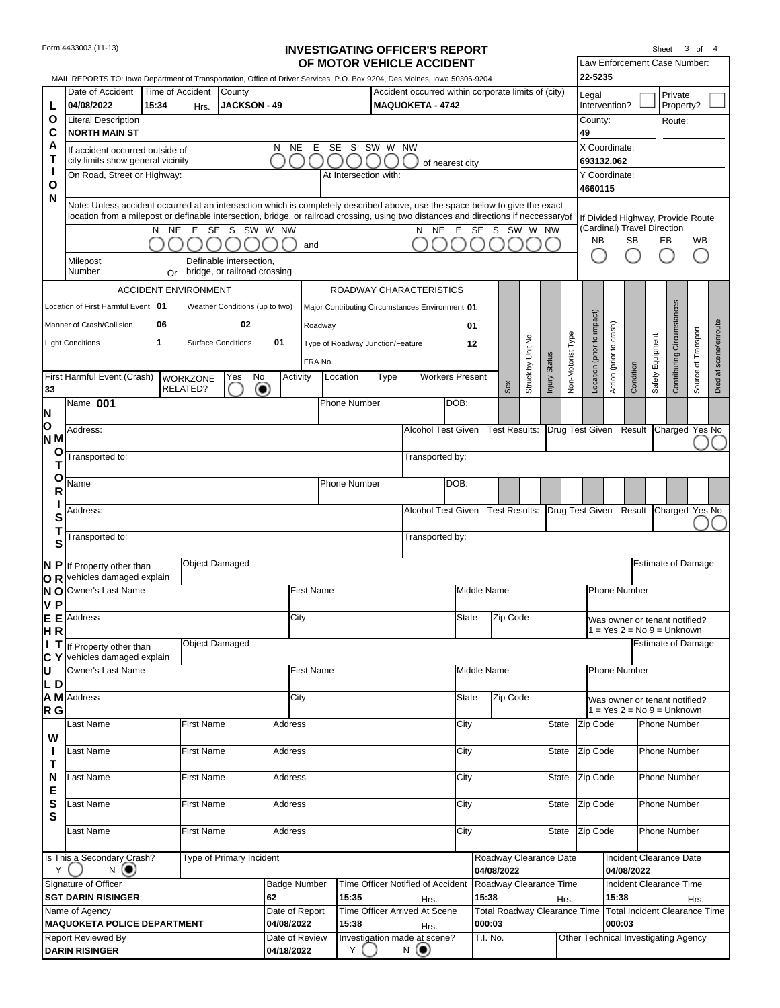| Form 4433003 (11-13) |
|----------------------|
|----------------------|

## **INVESTIGATING OFFICER'S REPORT**

| Sheet | 3 | of | 4 |
|-------|---|----|---|
|       |   |    |   |

|                       |                                                                                                                                                                                                                                                                                  |                |                             |                                                         |                              |                   | OF MOTOR VEHICLE ACCIDENT                       |         |                                                     |                        |                                               |          |                    |               |                   |                                                                  |                         | Law Enforcement Case Number:                                  |                  |                            |                     |                       |
|-----------------------|----------------------------------------------------------------------------------------------------------------------------------------------------------------------------------------------------------------------------------------------------------------------------------|----------------|-----------------------------|---------------------------------------------------------|------------------------------|-------------------|-------------------------------------------------|---------|-----------------------------------------------------|------------------------|-----------------------------------------------|----------|--------------------|---------------|-------------------|------------------------------------------------------------------|-------------------------|---------------------------------------------------------------|------------------|----------------------------|---------------------|-----------------------|
|                       | MAIL REPORTS TO: lowa Department of Transportation, Office of Driver Services, P.O. Box 9204, Des Moines, Iowa 50306-9204<br>Date of Accident                                                                                                                                    |                | Time of Accident            | County                                                  |                              |                   |                                                 |         | Accident occurred within corporate limits of (city) |                        |                                               |          |                    |               |                   | 22-5235                                                          |                         |                                                               |                  | Private                    |                     |                       |
| L                     | 04/08/2022                                                                                                                                                                                                                                                                       | 15:34          | Hrs.                        | <b>JACKSON - 49</b>                                     |                              |                   |                                                 |         | <b>MAQUOKETA - 4742</b>                             |                        |                                               |          |                    |               |                   | Legal<br>Intervention?                                           |                         |                                                               |                  | Property?                  |                     |                       |
| Ο                     | <b>Literal Description</b>                                                                                                                                                                                                                                                       |                |                             |                                                         |                              |                   |                                                 |         |                                                     |                        |                                               |          |                    |               |                   | County:                                                          |                         |                                                               |                  | Route:                     |                     |                       |
| C<br>A                | <b>NORTH MAIN ST</b>                                                                                                                                                                                                                                                             |                |                             |                                                         | <b>NE</b><br>N               | Е                 | SE<br>- S                                       | SW W NW |                                                     |                        |                                               |          |                    |               |                   | 49<br>X Coordinate:                                              |                         |                                                               |                  |                            |                     |                       |
| Т                     | If accident occurred outside of<br>city limits show general vicinity                                                                                                                                                                                                             |                |                             |                                                         |                              |                   |                                                 |         |                                                     | of nearest city        |                                               |          |                    |               |                   | 693132.062                                                       |                         |                                                               |                  |                            |                     |                       |
| H<br>Ο                | On Road, Street or Highway:                                                                                                                                                                                                                                                      |                |                             |                                                         |                              |                   | At Intersection with:                           |         |                                                     |                        |                                               |          |                    |               |                   | Y Coordinate:<br>4660115                                         |                         |                                                               |                  |                            |                     |                       |
| N                     | Note: Unless accident occurred at an intersection which is completely described above, use the space below to give the exact<br>location from a milepost or definable intersection, bridge, or railroad crossing, using two distances and directions if neccessary <sub>of</sub> |                |                             |                                                         |                              |                   |                                                 |         |                                                     |                        |                                               |          |                    |               |                   |                                                                  |                         |                                                               |                  |                            |                     |                       |
|                       |                                                                                                                                                                                                                                                                                  | <b>NE</b><br>N | E<br><b>SE</b>              | S                                                       | SW W NW                      |                   |                                                 |         | N                                                   | <b>NE</b><br>Е         | <b>SE</b><br>S                                |          | SW W NW            |               |                   | If Divided Highway, Provide Route<br>(Cardinal) Travel Direction |                         |                                                               |                  |                            |                     |                       |
|                       |                                                                                                                                                                                                                                                                                  |                |                             |                                                         |                              | and               |                                                 |         |                                                     |                        |                                               |          |                    |               |                   | <b>NB</b>                                                        |                         | <b>SB</b>                                                     | EB               |                            | <b>WB</b>           |                       |
|                       | Milepost<br>Number                                                                                                                                                                                                                                                               | Or             |                             | Definable intersection,<br>bridge, or railroad crossing |                              |                   |                                                 |         |                                                     |                        |                                               |          |                    |               |                   |                                                                  |                         |                                                               |                  |                            |                     |                       |
|                       |                                                                                                                                                                                                                                                                                  |                | <b>ACCIDENT ENVIRONMENT</b> |                                                         |                              |                   | ROADWAY CHARACTERISTICS                         |         |                                                     |                        |                                               |          |                    |               |                   |                                                                  |                         |                                                               |                  |                            |                     |                       |
|                       | Location of First Harmful Event 01                                                                                                                                                                                                                                               |                |                             | Weather Conditions (up to two)                          |                              |                   | Major Contributing Circumstances Environment 01 |         |                                                     |                        |                                               |          |                    |               |                   |                                                                  |                         |                                                               |                  |                            |                     |                       |
|                       | Manner of Crash/Collision                                                                                                                                                                                                                                                        | 06             |                             | 02                                                      |                              | Roadway           |                                                 |         |                                                     |                        | 01                                            |          |                    |               |                   |                                                                  |                         |                                                               |                  |                            |                     |                       |
|                       | <b>Light Conditions</b>                                                                                                                                                                                                                                                          | 1              |                             | <b>Surface Conditions</b>                               | 01                           |                   | Type of Roadway Junction/Feature                |         |                                                     |                        | 12                                            |          |                    |               |                   |                                                                  |                         |                                                               |                  |                            |                     |                       |
|                       | First Harmful Event (Crash)                                                                                                                                                                                                                                                      |                | <b>WORKZONE</b>             | No<br>Yes                                               | Activity                     | FRA No.           | Location                                        | Type    |                                                     | <b>Workers Present</b> |                                               |          | Struck by Unit No. | Injury Status | Non-Motorist Type | Location (prior to impact)                                       | Action (prior to crash) | Condition                                                     | Safety Equipment | Contributing Circumstances | Source of Transport | Died at scene/enroute |
| 33                    |                                                                                                                                                                                                                                                                                  |                | RELATED?                    | $\bullet$                                               |                              |                   |                                                 |         |                                                     |                        |                                               | Sex      |                    |               |                   |                                                                  |                         |                                                               |                  |                            |                     |                       |
| N                     | Name 001                                                                                                                                                                                                                                                                         |                |                             |                                                         |                              |                   | Phone Number                                    |         |                                                     | DOB:                   |                                               |          |                    |               |                   |                                                                  |                         |                                                               |                  |                            |                     |                       |
| O<br>N <sub>N</sub>   | Address:                                                                                                                                                                                                                                                                         |                |                             |                                                         |                              |                   |                                                 |         | Alcohol Test Given Test Results:                    |                        |                                               |          |                    |               |                   | Drug Test Given Result Charged Yes No                            |                         |                                                               |                  |                            |                     |                       |
| O                     | Transported to:                                                                                                                                                                                                                                                                  |                |                             |                                                         |                              |                   |                                                 |         | Transported by:                                     |                        |                                               |          |                    |               |                   |                                                                  |                         |                                                               |                  |                            |                     |                       |
| τ                     |                                                                                                                                                                                                                                                                                  |                |                             |                                                         |                              |                   |                                                 |         |                                                     |                        |                                               |          |                    |               |                   |                                                                  |                         |                                                               |                  |                            |                     |                       |
| О<br>R                | Name                                                                                                                                                                                                                                                                             |                |                             |                                                         |                              |                   | <b>Phone Number</b>                             |         |                                                     | DOB:                   |                                               |          |                    |               |                   |                                                                  |                         |                                                               |                  |                            |                     |                       |
| S                     | Address:                                                                                                                                                                                                                                                                         |                |                             |                                                         |                              |                   |                                                 |         | Alcohol Test Given Test Results:                    |                        |                                               |          |                    |               |                   | Drug Test Given Result                                           |                         |                                                               |                  | Charged Yes No             |                     |                       |
| Т<br>S                | Fransported to:                                                                                                                                                                                                                                                                  |                |                             |                                                         |                              |                   |                                                 |         | Transported by:                                     |                        |                                               |          |                    |               |                   |                                                                  |                         |                                                               |                  |                            |                     |                       |
| N P<br>OR             | If Property other than<br>vehicles damaged explain                                                                                                                                                                                                                               |                | <b>Object Damaged</b>       |                                                         |                              |                   |                                                 |         |                                                     |                        |                                               |          |                    |               |                   |                                                                  |                         |                                                               |                  | <b>Estimate of Damage</b>  |                     |                       |
| N O<br>V <sub>P</sub> | Owner's Last Name                                                                                                                                                                                                                                                                |                |                             |                                                         |                              | <b>First Name</b> |                                                 |         |                                                     |                        | Middle Name                                   |          |                    |               |                   |                                                                  |                         | <b>Phone Number</b>                                           |                  |                            |                     |                       |
| E E                   | <b>Address</b>                                                                                                                                                                                                                                                                   |                |                             |                                                         | City                         |                   |                                                 |         |                                                     |                        | State                                         | Zip Code |                    |               |                   |                                                                  |                         | Was owner or tenant notified?                                 |                  |                            |                     |                       |
| HR<br>ΙT              | If Property other than                                                                                                                                                                                                                                                           |                | <b>Object Damaged</b>       |                                                         |                              |                   |                                                 |         |                                                     |                        |                                               |          |                    |               |                   |                                                                  |                         | $=$ Yes 2 = No 9 = Unknown                                    |                  | <b>Estimate of Damage</b>  |                     |                       |
| C Y                   | vehicles damaged explain                                                                                                                                                                                                                                                         |                |                             |                                                         |                              |                   |                                                 |         |                                                     |                        |                                               |          |                    |               |                   |                                                                  |                         |                                                               |                  |                            |                     |                       |
| IJ<br>IL D            | Owner's Last Name                                                                                                                                                                                                                                                                |                |                             |                                                         |                              | <b>First Name</b> |                                                 |         |                                                     |                        | Middle Name                                   |          |                    |               |                   |                                                                  |                         | <b>Phone Number</b>                                           |                  |                            |                     |                       |
| R <sub>G</sub>        | A M Address                                                                                                                                                                                                                                                                      |                |                             |                                                         | City                         |                   |                                                 |         |                                                     |                        | <b>State</b>                                  | Zip Code |                    |               |                   |                                                                  |                         | Was owner or tenant notified?<br>$1 = Yes 2 = No 9 = Unknown$ |                  |                            |                     |                       |
|                       | Last Name                                                                                                                                                                                                                                                                        |                | First Name                  |                                                         | Address                      |                   |                                                 |         |                                                     | City                   |                                               |          |                    | State         |                   | Zip Code                                                         |                         |                                                               |                  | Phone Number               |                     |                       |
| W<br>H                | Last Name                                                                                                                                                                                                                                                                        |                | <b>First Name</b>           |                                                         | Address                      |                   |                                                 |         |                                                     | City                   |                                               |          |                    | State         |                   | Zip Code                                                         |                         |                                                               |                  | Phone Number               |                     |                       |
| Τ                     |                                                                                                                                                                                                                                                                                  |                |                             |                                                         |                              |                   |                                                 |         |                                                     |                        |                                               |          |                    |               |                   |                                                                  |                         |                                                               |                  |                            |                     |                       |
| N<br>Е                | Last Name                                                                                                                                                                                                                                                                        |                | First Name                  |                                                         | Address                      |                   |                                                 |         |                                                     | City                   |                                               |          |                    | State         |                   | Zip Code                                                         |                         |                                                               |                  | Phone Number               |                     |                       |
| S<br>S                | Last Name                                                                                                                                                                                                                                                                        |                | <b>First Name</b>           |                                                         | Address                      |                   |                                                 |         |                                                     | City                   |                                               |          |                    | State         |                   | Zip Code                                                         |                         |                                                               |                  | Phone Number               |                     |                       |
|                       | Last Name                                                                                                                                                                                                                                                                        |                | First Name                  |                                                         | Address                      |                   |                                                 |         |                                                     | City                   |                                               |          |                    | State         |                   | Zip Code                                                         |                         |                                                               |                  | Phone Number               |                     |                       |
| Y                     | Is This a Secondary Crash?<br>N                                                                                                                                                                                                                                                  |                |                             | Type of Primary Incident                                |                              |                   |                                                 |         |                                                     |                        | Roadway Clearance Date<br>04/08/2022          |          |                    |               |                   |                                                                  |                         | Incident Clearance Date<br>04/08/2022                         |                  |                            |                     |                       |
|                       | Signature of Officer                                                                                                                                                                                                                                                             |                |                             |                                                         | <b>Badge Number</b>          |                   |                                                 |         | Time Officer Notified of Accident                   |                        | Roadway Clearance Time                        |          |                    |               |                   |                                                                  |                         | Incident Clearance Time                                       |                  |                            |                     |                       |
|                       | <b>SGT DARIN RISINGER</b>                                                                                                                                                                                                                                                        |                |                             |                                                         | 62                           |                   | 15:35                                           |         | Hrs.                                                |                        | 15:38                                         |          |                    |               | Hrs.              |                                                                  | 15:38                   |                                                               |                  |                            | Hrs.                |                       |
|                       | Name of Agency<br><b>MAQUOKETA POLICE DEPARTMENT</b>                                                                                                                                                                                                                             |                |                             |                                                         | Date of Report<br>04/08/2022 |                   | 15:38                                           |         | Time Officer Arrived At Scene<br>Hrs.               |                        | <b>Total Roadway Clearance Time</b><br>000:03 |          |                    |               |                   |                                                                  | 000:03                  | <b>Total Incident Clearance Time</b>                          |                  |                            |                     |                       |
|                       | <b>Report Reviewed By</b>                                                                                                                                                                                                                                                        |                |                             |                                                         | Date of Review               |                   |                                                 |         | Investigation made at scene?                        |                        | T.I. No.                                      |          |                    |               |                   | Other Technical Investigating Agency                             |                         |                                                               |                  |                            |                     |                       |
|                       | <b>DARIN RISINGER</b>                                                                                                                                                                                                                                                            |                |                             |                                                         | 04/18/2022                   |                   | Y                                               |         | $N$ (e)                                             |                        |                                               |          |                    |               |                   |                                                                  |                         |                                                               |                  |                            |                     |                       |